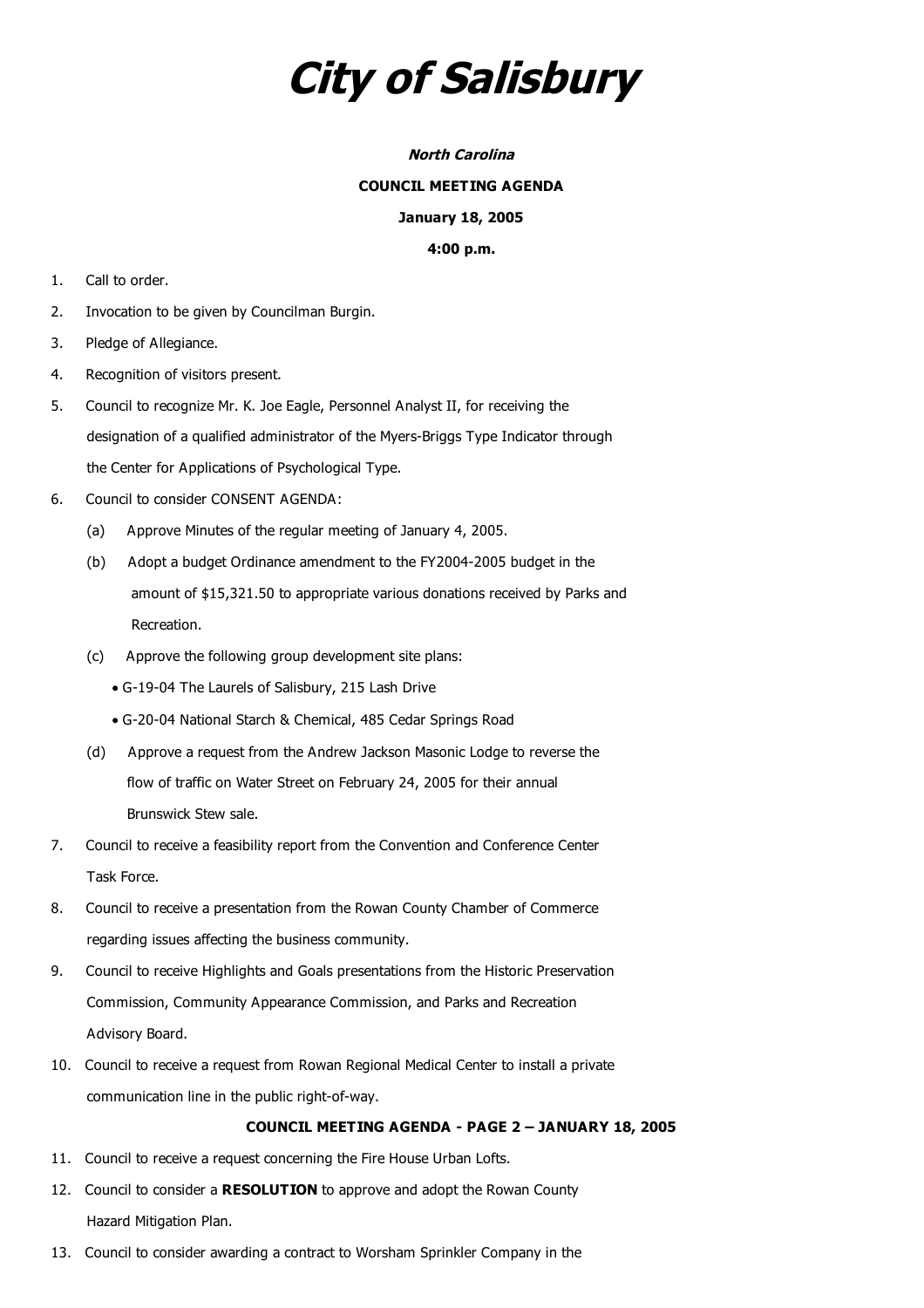# **City of Salisbury**

## **North Carolina**

#### **COUNCIL MEETING AGENDA**

# **January 18, 2005**

## **4:00 p.m.**

- 1. Call to order.
- 2. Invocation to be given by Councilman Burgin.
- 3. Pledge of Allegiance.
- 4. Recognition of visitors present.
- 5. Council to recognize Mr. K. Joe Eagle, Personnel Analyst II, for receiving the designation of a qualified administrator of the Myers-Briggs Type Indicator through the Center for Applications of Psychological Type.
- 6. Council to consider CONSENT AGENDA:
	- (a) Approve Minutes of the regular meeting of January 4, 2005.
	- (b) Adopt a budget Ordinance amendment to the FY2004-2005 budget in the amount of \$15,321.50 to appropriate various donations received by Parks and Recreation.
	- (c) Approve the following group development site plans:
		- · G-19-04 The Laurels of Salisbury, 215 Lash Drive
		- · G-20-04 National Starch & Chemical, 485 Cedar Springs Road
	- (d) Approve a request from the Andrew Jackson Masonic Lodge to reverse the flow of traffic on Water Street on February 24, 2005 for their annual Brunswick Stew sale.
- 7. Council to receive a feasibility report from the Convention and Conference Center Task Force.
- 8. Council to receive a presentation from the Rowan County Chamber of Commerce regarding issues affecting the business community.
- 9. Council to receive Highlights and Goals presentations from the Historic Preservation Commission, Community Appearance Commission, and Parks and Recreation Advisory Board.
- 10. Council to receive a request from Rowan Regional Medical Center to install a private communication line in the public right-of-way.

# **COUNCIL MEETING AGENDA - PAGE 2 – JANUARY 18, 2005**

- 11. Council to receive a request concerning the Fire House Urban Lofts.
- 12. Council to consider a **RESOLUTION** to approve and adopt the Rowan County Hazard Mitigation Plan.
- 13. Council to consider awarding a contract to Worsham Sprinkler Company in the